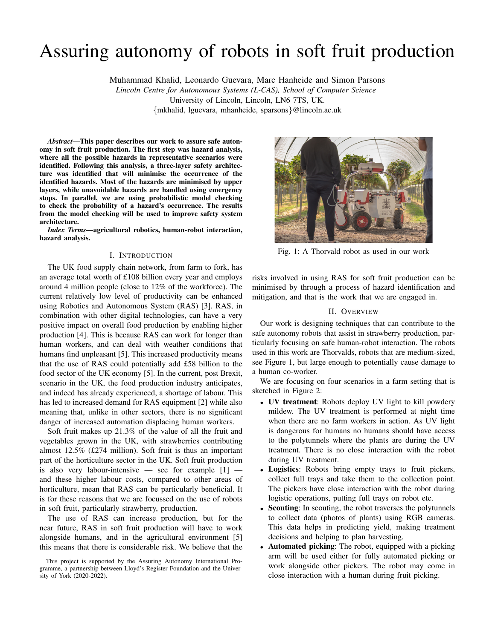# Assuring autonomy of robots in soft fruit production

Muhammad Khalid, Leonardo Guevara, Marc Hanheide and Simon Parsons *Lincoln Centre for Autonomous Systems (L-CAS), School of Computer Science* University of Lincoln, Lincoln, LN6 7TS, UK.

{mkhalid, lguevara, mhanheide, sparsons}@lincoln.ac.uk

*Abstract*—This paper describes our work to assure safe autonomy in soft fruit production. The first step was hazard analysis, where all the possible hazards in representative scenarios were identified. Following this analysis, a three-layer safety architecture was identified that will minimise the occurrence of the identified hazards. Most of the hazards are minimised by upper layers, while unavoidable hazards are handled using emergency stops. In parallel, we are using probabilistic model checking to check the probability of a hazard's occurrence. The results from the model checking will be used to improve safety system architecture.

*Index Terms*—agricultural robotics, human-robot interaction, hazard analysis.

## I. INTRODUCTION

The UK food supply chain network, from farm to fork, has an average total worth of £108 billion every year and employs around 4 million people (close to 12% of the workforce). The current relatively low level of productivity can be enhanced using Robotics and Autonomous System (RAS) [3]. RAS, in combination with other digital technologies, can have a very positive impact on overall food production by enabling higher production [4]. This is because RAS can work for longer than human workers, and can deal with weather conditions that humans find unpleasant [5]. This increased productivity means that the use of RAS could potentially add £58 billion to the food sector of the UK economy [5]. In the current, post Brexit, scenario in the UK, the food production industry anticipates, and indeed has already experienced, a shortage of labour. This has led to increased demand for RAS equipment [2] while also meaning that, unlike in other sectors, there is no significant danger of increased automation displacing human workers.

Soft fruit makes up 21.3% of the value of all the fruit and vegetables grown in the UK, with strawberries contributing almost 12.5% (£274 million). Soft fruit is thus an important part of the horticulture sector in the UK. Soft fruit production is also very labour-intensive — see for example  $[1]$  and these higher labour costs, compared to other areas of horticulture, mean that RAS can be particularly beneficial. It is for these reasons that we are focussed on the use of robots in soft fruit, particularly strawberry, production.

The use of RAS can increase production, but for the near future, RAS in soft fruit production will have to work alongside humans, and in the agricultural environment [5] this means that there is considerable risk. We believe that the



Fig. 1: A Thorvald robot as used in our work

risks involved in using RAS for soft fruit production can be minimised by through a process of hazard identification and mitigation, and that is the work that we are engaged in.

# II. OVERVIEW

Our work is designing techniques that can contribute to the safe autonomy robots that assist in strawberry production, particularly focusing on safe human-robot interaction. The robots used in this work are Thorvalds, robots that are medium-sized, see Figure 1, but large enough to potentially cause damage to a human co-worker.

We are focusing on four scenarios in a farm setting that is sketched in Figure 2:

- UV treatment: Robots deploy UV light to kill powdery mildew. The UV treatment is performed at night time when there are no farm workers in action. As UV light is dangerous for humans no humans should have access to the polytunnels where the plants are during the UV treatment. There is no close interaction with the robot during UV treatment.
- Logistics: Robots bring empty trays to fruit pickers, collect full trays and take them to the collection point. The pickers have close interaction with the robot during logistic operations, putting full trays on robot etc.
- Scouting: In scouting, the robot traverses the polytunnels to collect data (photos of plants) using RGB cameras. This data helps in predicting yield, making treatment decisions and helping to plan harvesting.
- Automated picking: The robot, equipped with a picking arm will be used either for fully automated picking or work alongside other pickers. The robot may come in close interaction with a human during fruit picking.

This project is supported by the Assuring Autonomy International Programme, a partnership between Lloyd's Register Foundation and the University of York (2020-2022).